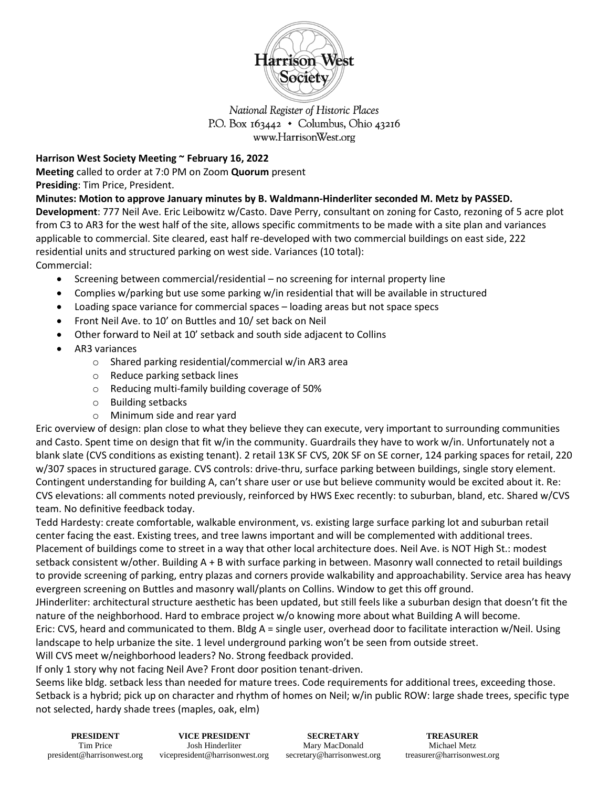

## National Register of Historic Places P.O. Box  $163442 \cdot$  Columbus, Ohio 43216 www.HarrisonWest.org

## **Harrison West Society Meeting ~ February 16, 2022**

**Meeting** called to order at 7:0 PM on Zoom **Quorum** present **Presiding**: Tim Price, President.

**Minutes: Motion to approve January minutes by B. Waldmann-Hinderliter seconded M. Metz by PASSED.** 

**Development**: 777 Neil Ave. Eric Leibowitz w/Casto. Dave Perry, consultant on zoning for Casto, rezoning of 5 acre plot from C3 to AR3 for the west half of the site, allows specific commitments to be made with a site plan and variances applicable to commercial. Site cleared, east half re-developed with two commercial buildings on east side, 222 residential units and structured parking on west side. Variances (10 total):

Commercial:

- Screening between commercial/residential no screening for internal property line
- Complies w/parking but use some parking w/in residential that will be available in structured
- Loading space variance for commercial spaces loading areas but not space specs
- Front Neil Ave. to 10' on Buttles and 10/ set back on Neil
- Other forward to Neil at 10' setback and south side adjacent to Collins
- AR3 variances
	- o Shared parking residential/commercial w/in AR3 area
	- o Reduce parking setback lines
	- o Reducing multi-family building coverage of 50%
	- o Building setbacks
	- o Minimum side and rear yard

Eric overview of design: plan close to what they believe they can execute, very important to surrounding communities and Casto. Spent time on design that fit w/in the community. Guardrails they have to work w/in. Unfortunately not a blank slate (CVS conditions as existing tenant). 2 retail 13K SF CVS, 20K SF on SE corner, 124 parking spaces for retail, 220 w/307 spaces in structured garage. CVS controls: drive-thru, surface parking between buildings, single story element. Contingent understanding for building A, can't share user or use but believe community would be excited about it. Re: CVS elevations: all comments noted previously, reinforced by HWS Exec recently: to suburban, bland, etc. Shared w/CVS team. No definitive feedback today.

Tedd Hardesty: create comfortable, walkable environment, vs. existing large surface parking lot and suburban retail center facing the east. Existing trees, and tree lawns important and will be complemented with additional trees. Placement of buildings come to street in a way that other local architecture does. Neil Ave. is NOT High St.: modest setback consistent w/other. Building A + B with surface parking in between. Masonry wall connected to retail buildings to provide screening of parking, entry plazas and corners provide walkability and approachability. Service area has heavy evergreen screening on Buttles and masonry wall/plants on Collins. Window to get this off ground.

JHinderliter: architectural structure aesthetic has been updated, but still feels like a suburban design that doesn't fit the nature of the neighborhood. Hard to embrace project w/o knowing more about what Building A will become.

Eric: CVS, heard and communicated to them. Bldg A = single user, overhead door to facilitate interaction w/Neil. Using landscape to help urbanize the site. 1 level underground parking won't be seen from outside street.

Will CVS meet w/neighborhood leaders? No. Strong feedback provided.

If only 1 story why not facing Neil Ave? Front door position tenant-driven.

Seems like bldg. setback less than needed for mature trees. Code requirements for additional trees, exceeding those. Setback is a hybrid; pick up on character and rhythm of homes on Neil; w/in public ROW: large shade trees, specific type not selected, hardy shade trees (maples, oak, elm)